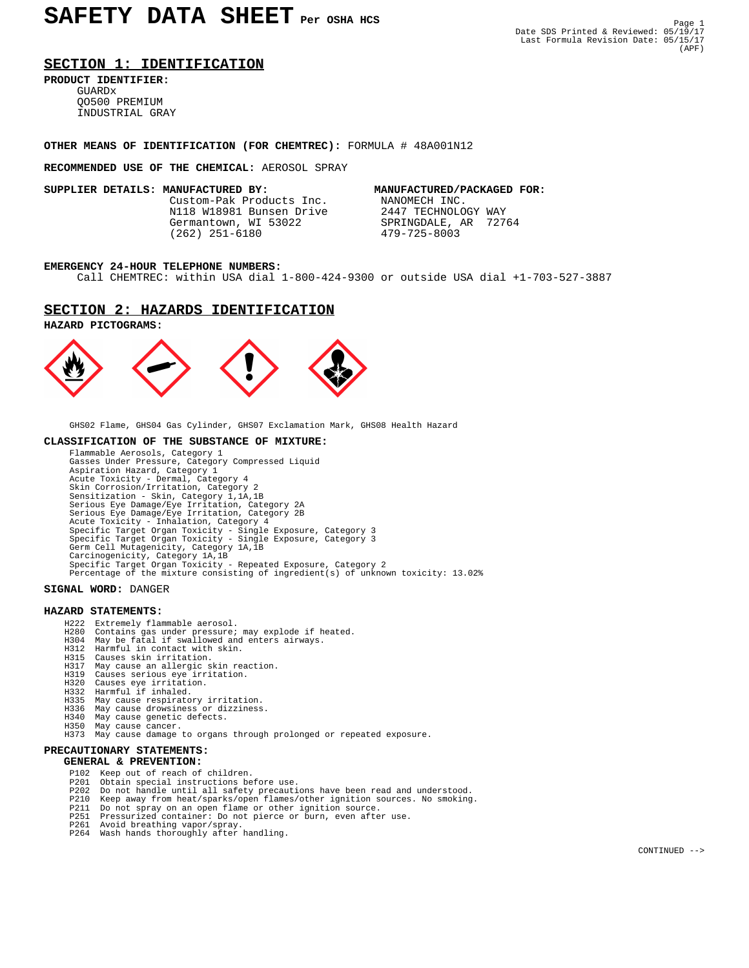# **SECTION 1: IDENTIFICATION**

**PRODUCT IDENTIFIER:**

 GUARDx QO500 PREMIUM INDUSTRIAL GRAY

## **OTHER MEANS OF IDENTIFICATION (FOR CHEMTREC):** FORMULA # 48A001N12

### **RECOMMENDED USE OF THE CHEMICAL:** AEROSOL SPRAY

Custom-Pak Products Inc. N118 W18981 Bunsen Drive 2447 TECHNOLOGY WAY<br>Germantown, WI 53022 SPRINGDALE, AR 72764 Germantown, WI 53022 SPRINGDALE, 3<br>
(262) 251-6180 479-725-8003  $(262)$  251-6180

**SUPPLIER DETAILS: MANUFACTURED BY:** MANUFACTURED/PACKAGED FOR:<br>Custom-Pak Products Inc. MANOMECH INC.

### **EMERGENCY 24-HOUR TELEPHONE NUMBERS:**

Call CHEMTREC: within USA dial 1-800-424-9300 or outside USA dial +1-703-527-3887

## **SECTION 2: HAZARDS IDENTIFICATION**





GHS02 Flame, GHS04 Gas Cylinder, GHS07 Exclamation Mark, GHS08 Health Hazard

### **CLASSIFICATION OF THE SUBSTANCE OF MIXTURE:**

 Flammable Aerosols, Category 1 Gasses Under Pressure, Category Compressed Liquid Aspiration Hazard, Category 1 Acute Toxicity - Dermal, Category 4 Skin Corrosion/Irritation, Category 2 Sensitization - Skin, Category 1,1A,1B Serious Eye Damage/Eye Irritation, Category 2A Serious Eye Damage/Eye Irritation, Category 2B Acute Toxicity - Inhalation, Category 4 Specific Target Organ Toxicity - Single Exposure, Category 3 Specific Target Organ Toxicity - Single Exposure, Category 3 Germ Cell Mutagenicity, Category 1A,1B Carcinogenicity, Category 1A,1B Specific Target Organ Toxicity - Repeated Exposure, Category 2 Percentage of the mixture consisting of ingredient(s) of unknown toxicity: 13.02%

### **SIGNAL WORD:** DANGER

### **HAZARD STATEMENTS:**

- H222 Extremely flammable aerosol.
- H280 Contains gas under pressure; may explode if heated.
- H304 May be fatal if swallowed and enters airways. H312 Harmful in contact with skin.
	-
	- H315 Causes skin irritation.
- H317 May cause an allergic skin reaction. H319 Causes serious eye irritation.
	- H320 Causes eye irritation.
	-
	- H332 Harmful if inhaled.<br>H335 May cause respirato May cause respiratory irritation.
	- H336 May cause drowsiness or dizziness.
	-
- H340 May cause genetic defects. H350 May cause cancer.
	- H373 May cause damage to organs through prolonged or repeated exposure.

# **PRECAUTIONARY STATEMENTS:**

# **GENERAL & PREVENTION:**

- P102 Keep out of reach of children.<br>P201 Obtain special instructions be
- P201 Obtain special instructions before use.
- P202 Do not handle until all safety precautions have been read and understood. P210 Keep away from heat/sparks/open flames/other ignition sources. No smoking.
	-
- P211 Do not spray on an open flame or other ignition source. P251 Pressurized container: Do not pierce or burn, even after use.
	-
- P261 Avoid breathing vapor/spray. P264 Wash hands thoroughly after handling.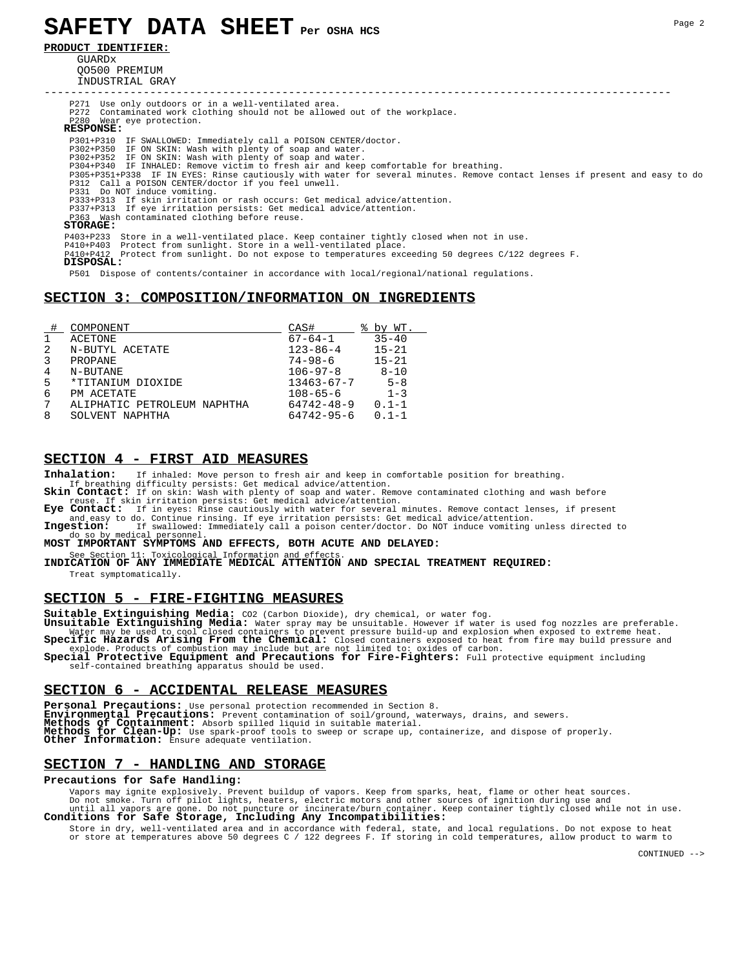# **SAFETY DATA SHEET Per OSHA HCS**

**PRODUCT IDENTIFIER:**

GUARDY QO500 PREMIUM INDUSTRIAL GRAY

----------------------------------------------------------------------------------------------- P271 Use only outdoors or in a well-ventilated area. P272 Contaminated work clothing should not be allowed out of the workplace. P280 Wear eye protection.  **RESPONSE:** P301+P310 IF SWALLOWED: Immediately call a POISON CENTER/doctor. P302+P350 IF ON SKIN: Wash with plenty of soap and water. P302+P352 IF ON SKIN: Wash with plenty of soap and water. P304+P340 IF INHALED: Remove victim to fresh air and keep comfortable for breathing. P305+P351+P338 IF IN EYES: Rinse cautiously with water for several minutes. Remove contact lenses if present and easy to do<br>P312 Call a POISON CENTER/doctor if you feel unwell.<br>P331 Do NOT induce vomiting. P333+P313 If skin irritation or rash occurs: Get medical advice/attention. P337+P313 If eye irritation persists: Get medical advice/attention. P363 Wash contaminated clothing before reuse.  **STORAGE:** P403+P233 Store in a well-ventilated place. Keep container tightly closed when not in use.<br>P410+P403 Protect from sunlight. Store in a well-ventilated place.<br>P410+P412 Protect from sunlight. Do not expose to temperature

 **DISPOSAL:**

P501 Dispose of contents/container in accordance with local/regional/national regulations.

# **SECTION 3: COMPOSITION/INFORMATION ON INGREDIENTS**

|   | COMPONENT                   | CAS#             | by WT.    |
|---|-----------------------------|------------------|-----------|
| 1 | ACETONE                     | $67 - 64 - 1$    | $35 - 40$ |
| 2 | N-BUTYL ACETATE             | $123 - 86 - 4$   | $15 - 21$ |
| 3 | PROPANE                     | $74 - 98 - 6$    | $15 - 21$ |
| 4 | N-BUTANE                    | $106 - 97 - 8$   | $8 - 10$  |
| 5 | *TITANIUM DIOXIDE           | $13463 - 67 - 7$ | $5 - 8$   |
| 6 | PM ACETATE                  | $108 - 65 - 6$   | $1 - 3$   |
| 7 | ALIPHATIC PETROLEUM NAPHTHA | $64742 - 48 - 9$ | $0.1 - 1$ |
| 8 | SOLVENT NAPHTHA             | $64742 - 95 - 6$ | $0.1 - 1$ |

# **SECTION 4 - FIRST AID MEASURES**

**Inhalation:** If inhaled: Move person to fresh air and keep in comfortable position for breathing.

 If breathing difficulty persists: Get medical advice/attention. **Skin Contact:** If on skin: Wash with plenty of soap and water. Remove contaminated clothing and wash before reuse. If skin irritation persists: Get medical advice/attention.<br>**Eye Contact:** If in eves: Rinse cautiously with water for several

**Contact:** If in eyes: Rinse cautiously with water for several minutes. Remove contact lenses, if present and easy to do. Continue rinsing. If eye irritation persists: Get medical advice/attention.

Ingestion: If swallowed: Immediately call a poison center/doctor. Do NOT induce vomiting unless directed to do so by medical personnel.<br>**MOST IMPORTANT SYMPTOMS AND EFFECTS, BOTH ACUTE AND DELAYED:** 

See Section 11: Toxicological Information and effects

**INDICATION OF ANY IMMEDIATE MEDICAL ATTENTION AND SPECIAL TREATMENT REQUIRED:** Treat symptomatically.

### **SECTION 5 - FIRE-FIGHTING MEASURES**

**Suitable Extinguishing Media:** CO2 (Carbon Dioxide), dry chemical, or water fog.<br>**Unsuitable Extinguishing Media:** Water spray may be unsuitable. However if water is used fog nozzles are preferable. Water may be used to cool closed containers to prevent pressure build-up and explosion when exposed to extreme heat.<br>Specific Hazards Arising From the Chemical: Closed containers exposed to heat from fire may build pressur

explode. Products of combustion may include but are not limited to: oxides of carbon.<br>**Special Protective Equipment and Precautions for Fire-Fighters:** Full protective equipment including self-contained breathing apparatus should be used.

### **SECTION 6 - ACCIDENTAL RELEASE MEASURES**

Personal Precautions: Use personal protection recommended in Section 8.<br>Environmental Precautions: Prevent contamination of soil/ground, waterways, drains, and sewers.<br>Methods of Containment: Absorb spilled liquid in suita **SECTION 7 - HANDLING AND STORAGE**

### **Precautions for Safe Handling:**

Vapors may ignite explosively. Prevent buildup of vapors. Keep from sparks, heat, flame or other heat sources.<br>Do not smoke. Turn off pilot lights, heaters, electric motors and other sources of ignition during use and<br>unti

 Store in dry, well-ventilated area and in accordance with federal, state, and local regulations. Do not expose to heat or store at temperatures above 50 degrees C / 122 degrees F. If storing in cold temperatures, allow product to warm to

CONTINUED -->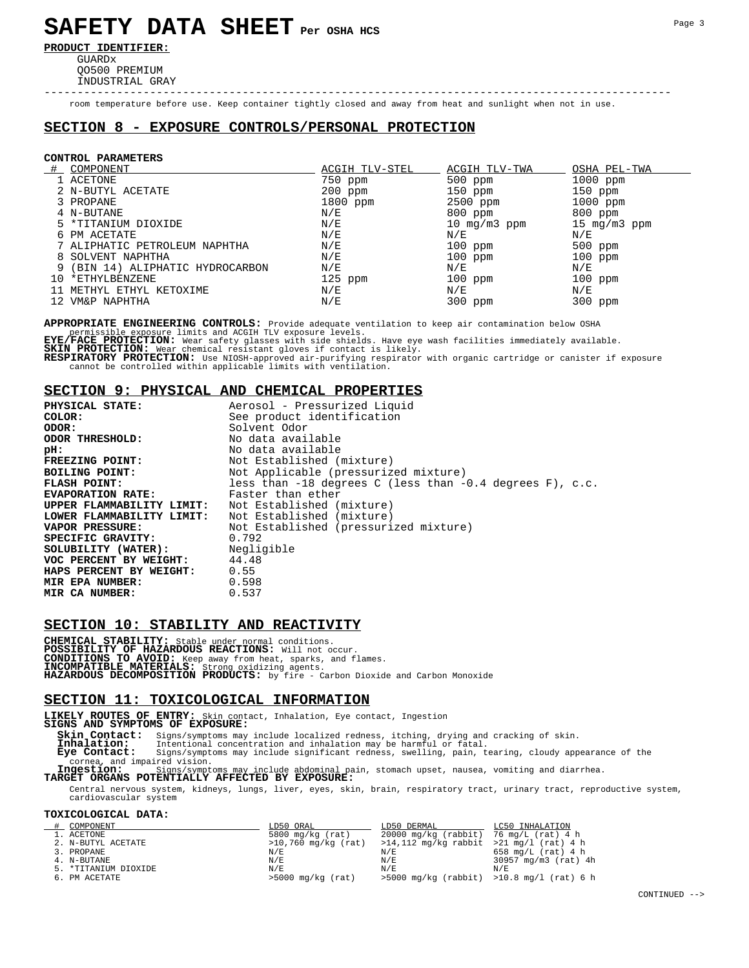# **SAFETY DATA SHEET Per OSHA HCS**

**PRODUCT IDENTIFIER:**

 GUARDx QO500 PREMIUM INDUSTRIAL GRAY

room temperature before use. Keep container tightly closed and away from heat and sunlight when not in use.

-----------------------------------------------------------------------------------------------

# **SECTION 8 - EXPOSURE CONTROLS/PERSONAL PROTECTION**

### **CONTROL PARAMETERS**

| COMPONENT                        | ACGIH TLV-STEL                | ACGIH TLV-TWA  | OSHA PEL-TWA            |
|----------------------------------|-------------------------------|----------------|-------------------------|
| 1 ACETONE                        | 750 ppm                       | $500$ ppm      | $1000$ ppm              |
| 2 N-BUTYL ACETATE                | 200 ppm                       | $150$ ppm      | $150$ ppm               |
| 3 PROPANE                        | $1800$ ppm                    | 2500 ppm       | $1000$ ppm              |
| 4 N-BUTANE                       | N/E                           | 800 ppm        | 800 ppm                 |
| 5 *TITANIUM DIOXIDE              | N/E                           | 10 $mq/m3$ ppm | $15 \text{ mg/m}$ 3 ppm |
| 6 PM ACETATE                     | N/E                           | N/E            | N/E                     |
| 7 ALIPHATIC PETROLEUM NAPHTHA    | N/E                           | $100$ ppm      | $500$ ppm               |
| 8 SOLVENT NAPHTHA                | N/E                           | $100$ ppm      | $100$ ppm               |
| 9 (BIN 14) ALIPHATIC HYDROCARBON | $\mathrm{N} \,/\, \mathrm{E}$ | N/E            | N/E                     |
| 10 *ETHYLBENZENE                 | $125$ ppm                     | $100$ ppm      | $100$ ppm               |
| 11 METHYL ETHYL KETOXIME         | N/E                           | N/E            | N/E                     |
| 12 VM&P NAPHTHA                  | N/E                           | $300$ ppm      | $300$ ppm               |

**APPROPRIATE ENGINEERING CONTROLS:** Provide adequate ventilation to keep air contamination below OSHA

permissible exposure limits and ACGIH TLV exposure levels.<br>**EYE/FACE PROTECTION:** Wear safety glasses with side shields. Have eye wash facilities immediately available.<br>**SKIN PROTECTION:** Wear chemical resistant gloves if

cannot be controlled within applicable limits with ventilation.

### **SECTION 9: PHYSICAL AND CHEMICAL PROPERTIES**

| <b>PHYSICAL STATE:</b>         | Aerosol - Pressurized Liquid                                 |
|--------------------------------|--------------------------------------------------------------|
| COLOR:                         | See product identification                                   |
| ODOR :                         | Solvent Odor                                                 |
| ODOR THRESHOLD:                | No data available                                            |
| pH:                            | No data available                                            |
| <b>FREEZING POINT:</b>         | Not Established (mixture)                                    |
| <b>BOILING POINT:</b>          | Not Applicable (pressurized mixture)                         |
| <b>FLASH POINT:</b>            | less than $-18$ degrees C (less than $-0.4$ degrees F), c.c. |
| <b>EVAPORATION RATE:</b>       | Faster than ether                                            |
| UPPER FLAMMABILITY LIMIT:      | Not Established (mixture)                                    |
| LOWER FLAMMABILITY LIMIT:      | Not Established (mixture)                                    |
| <b>VAPOR PRESSURE:</b>         | Not Established (pressurized mixture)                        |
| SPECIFIC GRAVITY:              | 0.792                                                        |
| SOLUBILITY (WATER): Negligible |                                                              |
| VOC PERCENT BY WEIGHT: 44.48   |                                                              |
| <b>HAPS PERCENT BY WEIGHT:</b> | 0.55                                                         |
| <b>MIR EPA NUMBER:</b>         | 0.598                                                        |
| MIR CA NUMBER:                 | 0.537                                                        |

### **SECTION 10: STABILITY AND REACTIVITY**

**CHEMICAL STABILITY:** Stable under normal conditions. **POSSIBILITY OF HAZARDOUS REACTIONS:** Will not occur. **CONDITIONS TO AVOID:** Keep away from heat, sparks, and flames. **INCOMPATIBLE MATERIALS:** Strong oxidizing agents. **HAZARDOUS DECOMPOSITION PRODUCTS:** by fire - Carbon Dioxide and Carbon Monoxide

### **SECTION 11: TOXICOLOGICAL INFORMATION**

**LIKELY ROUTES OF ENTRY:** Skin contact, Inhalation, Eye contact, Ingestion **SIGNS AND SYMPTOMS OF EXPOSURE:**

**Skin Contact:** Signs/symptoms may include localized redness, itching, drying and cracking of skin.<br>**Inhalation:** Intentional concentration and inhalation may be harmful or fatal.<br>**Eye Contact:** Signs/symptoms may include

**Inhalation:** Intentional concentration and inhalation may be harmful or fatal.<br> **Eye Contact:** Signs/symptoms may include significant redness, swelling, pain, tearing, cloudy appearance of the<br> **Eye Contact:** Signs/sympto cornea, and impaired vision. **Ingestion:** Signs/symptoms may include abdominal pain, stomach upset, nausea, vomiting and diarrhea. **TARGET ORGANS POTENTIALLY AFFECTED BY EXPOSURE:**

 Central nervous system, kidneys, lungs, liver, eyes, skin, brain, respiratory tract, urinary tract, reproductive system, cardiovascular system

# **TOXICOLOGICAL DATA:**

| COMPONENT            | LD50 ORAL             | LD50 DERMAL                                      | LC50 INHALATION      |
|----------------------|-----------------------|--------------------------------------------------|----------------------|
| 1. ACETONE           | 5800 $mq/kg$ (rat)    | $20000 \text{ mg/kg}$ (rabbit) 76 mg/L (rat) 4 h |                      |
| 2. N-BUTYL ACETATE   | $>10,760$ mg/kg (rat) | $>14,112$ mg/kg rabbit $>21$ mg/l (rat) 4 h      |                      |
| 3. PROPANE           | N/E                   | N/E                                              | 658 mg/L $(rat)$ 4 h |
| 4. N-BUTANE          | N/E                   | N/E                                              | 30957 mg/m3 (rat) 4h |
| 5. *TITANIUM DIOXIDE | N/E                   | N/E                                              | N/E                  |
| 6. PM ACETATE        | $>5000$ mg/kg (rat)   | $>5000$ mg/kg (rabbit) $>10.8$ mg/l (rat) 6 h    |                      |